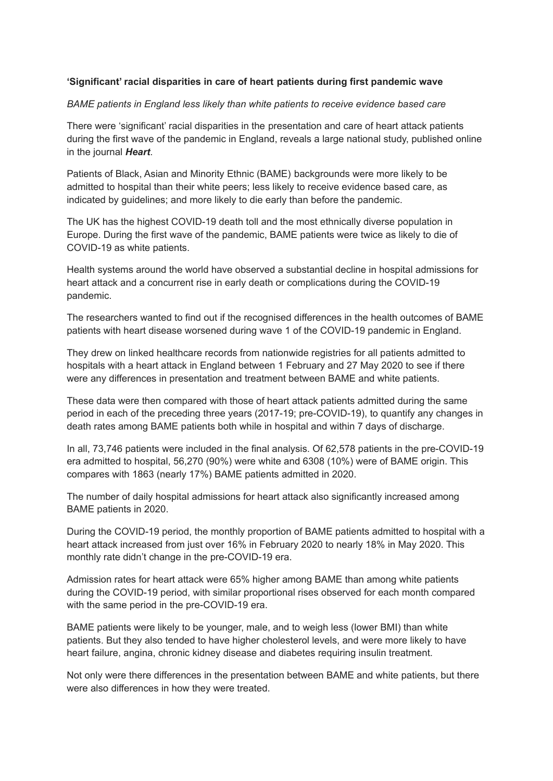## **'Significant' racial disparities in care of heart patients during first pandemic wave**

## *BAME patients in England less likely than white patients to receive evidence based care*

There were 'significant' racial disparities in the presentation and care of heart attack patients during the first wave of the pandemic in England, reveals a large national study, published online in the journal *Heart*.

Patients of Black, Asian and Minority Ethnic (BAME) backgrounds were more likely to be admitted to hospital than their white peers; less likely to receive evidence based care, as indicated by guidelines; and more likely to die early than before the pandemic.

The UK has the highest COVID-19 death toll and the most ethnically diverse population in Europe. During the first wave of the pandemic, BAME patients were twice as likely to die of COVID-19 as white patients.

Health systems around the world have observed a substantial decline in hospital admissions for heart attack and a concurrent rise in early death or complications during the COVID-19 pandemic.

The researchers wanted to find out if the recognised differences in the health outcomes of BAME patients with heart disease worsened during wave 1 of the COVID-19 pandemic in England.

They drew on linked healthcare records from nationwide registries for all patients admitted to hospitals with a heart attack in England between 1 February and 27 May 2020 to see if there were any differences in presentation and treatment between BAME and white patients.

These data were then compared with those of heart attack patients admitted during the same period in each of the preceding three years (2017-19; pre-COVID-19), to quantify any changes in death rates among BAME patients both while in hospital and within 7 days of discharge.

In all, 73,746 patients were included in the final analysis. Of 62,578 patients in the pre-COVID-19 era admitted to hospital, 56,270 (90%) were white and 6308 (10%) were of BAME origin. This compares with 1863 (nearly 17%) BAME patients admitted in 2020.

The number of daily hospital admissions for heart attack also significantly increased among BAME patients in 2020.

During the COVID-19 period, the monthly proportion of BAME patients admitted to hospital with a heart attack increased from just over 16% in February 2020 to nearly 18% in May 2020. This monthly rate didn't change in the pre-COVID-19 era.

Admission rates for heart attack were 65% higher among BAME than among white patients during the COVID-19 period, with similar proportional rises observed for each month compared with the same period in the pre-COVID-19 era.

BAME patients were likely to be younger, male, and to weigh less (lower BMI) than white patients. But they also tended to have higher cholesterol levels, and were more likely to have heart failure, angina, chronic kidney disease and diabetes requiring insulin treatment.

Not only were there differences in the presentation between BAME and white patients, but there were also differences in how they were treated.